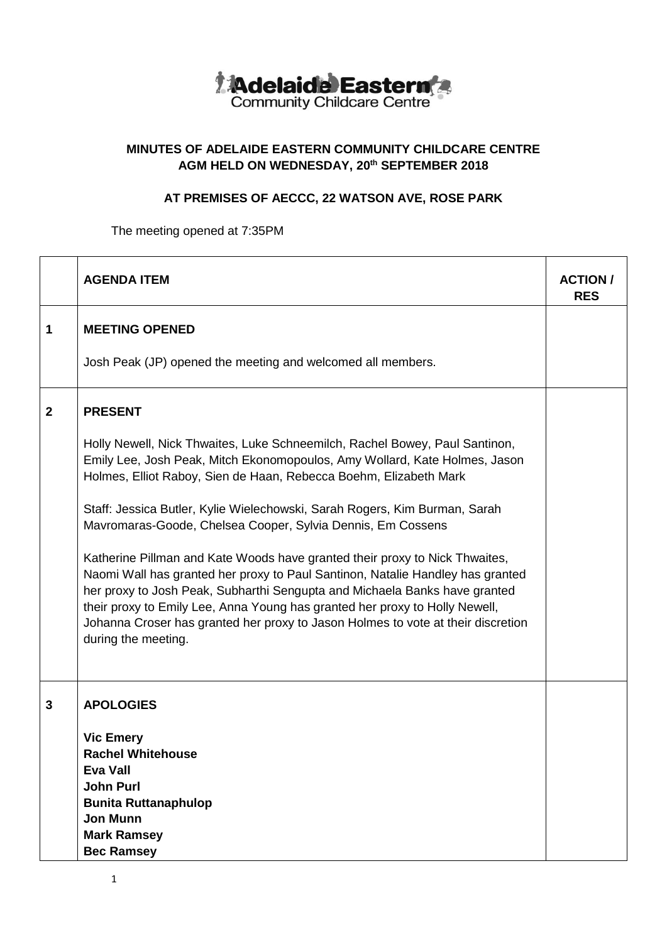

## **MINUTES OF ADELAIDE EASTERN COMMUNITY CHILDCARE CENTRE AGM HELD ON WEDNESDAY, 20 th SEPTEMBER 2018**

## **AT PREMISES OF AECCC, 22 WATSON AVE, ROSE PARK**

The meeting opened at 7:35PM

|              | <b>AGENDA ITEM</b>                                                                                                                                                                                                                                                                                                                                                                                                                                                                                   | <b>ACTION</b> /<br><b>RES</b> |
|--------------|------------------------------------------------------------------------------------------------------------------------------------------------------------------------------------------------------------------------------------------------------------------------------------------------------------------------------------------------------------------------------------------------------------------------------------------------------------------------------------------------------|-------------------------------|
| 1            | <b>MEETING OPENED</b><br>Josh Peak (JP) opened the meeting and welcomed all members.                                                                                                                                                                                                                                                                                                                                                                                                                 |                               |
| $\mathbf{2}$ | <b>PRESENT</b><br>Holly Newell, Nick Thwaites, Luke Schneemilch, Rachel Bowey, Paul Santinon,                                                                                                                                                                                                                                                                                                                                                                                                        |                               |
|              | Emily Lee, Josh Peak, Mitch Ekonomopoulos, Amy Wollard, Kate Holmes, Jason<br>Holmes, Elliot Raboy, Sien de Haan, Rebecca Boehm, Elizabeth Mark<br>Staff: Jessica Butler, Kylie Wielechowski, Sarah Rogers, Kim Burman, Sarah                                                                                                                                                                                                                                                                        |                               |
|              | Mavromaras-Goode, Chelsea Cooper, Sylvia Dennis, Em Cossens<br>Katherine Pillman and Kate Woods have granted their proxy to Nick Thwaites,<br>Naomi Wall has granted her proxy to Paul Santinon, Natalie Handley has granted<br>her proxy to Josh Peak, Subharthi Sengupta and Michaela Banks have granted<br>their proxy to Emily Lee, Anna Young has granted her proxy to Holly Newell,<br>Johanna Croser has granted her proxy to Jason Holmes to vote at their discretion<br>during the meeting. |                               |
| 3            | <b>APOLOGIES</b><br><b>Vic Emery</b><br><b>Rachel Whitehouse</b><br><b>Eva Vall</b><br><b>John Purl</b><br><b>Bunita Ruttanaphulop</b><br><b>Jon Munn</b><br><b>Mark Ramsey</b><br><b>Bec Ramsey</b>                                                                                                                                                                                                                                                                                                 |                               |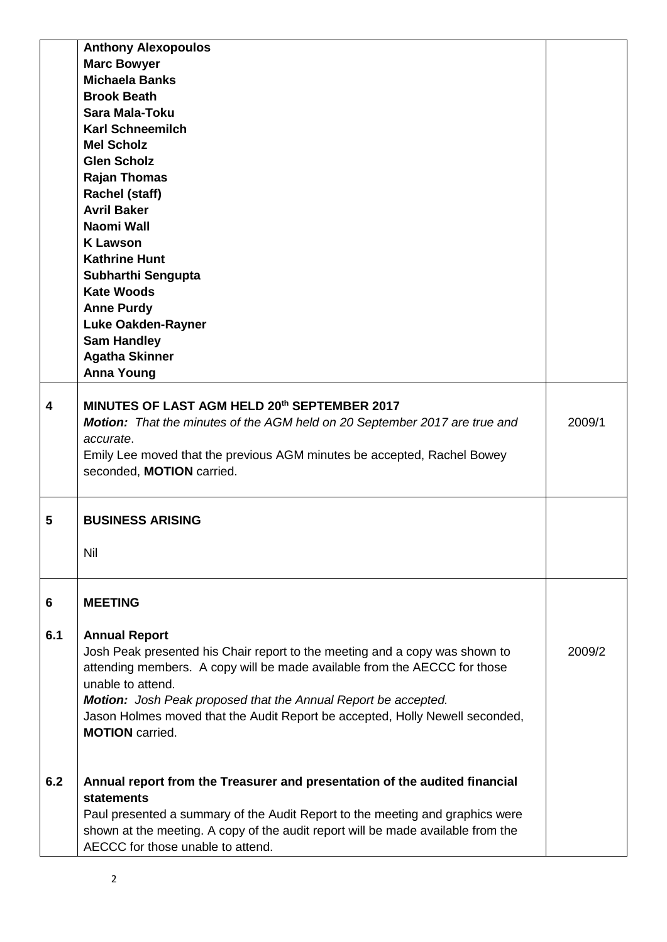|     | <b>Anthony Alexopoulos</b>                                                                                                              |        |
|-----|-----------------------------------------------------------------------------------------------------------------------------------------|--------|
|     | <b>Marc Bowyer</b>                                                                                                                      |        |
|     | <b>Michaela Banks</b>                                                                                                                   |        |
|     | <b>Brook Beath</b>                                                                                                                      |        |
|     | <b>Sara Mala-Toku</b>                                                                                                                   |        |
|     | <b>Karl Schneemilch</b>                                                                                                                 |        |
|     | <b>Mel Scholz</b>                                                                                                                       |        |
|     | <b>Glen Scholz</b>                                                                                                                      |        |
|     | <b>Rajan Thomas</b>                                                                                                                     |        |
|     | <b>Rachel (staff)</b>                                                                                                                   |        |
|     | <b>Avril Baker</b>                                                                                                                      |        |
|     | Naomi Wall                                                                                                                              |        |
|     | <b>K Lawson</b>                                                                                                                         |        |
|     | <b>Kathrine Hunt</b>                                                                                                                    |        |
|     | Subharthi Sengupta                                                                                                                      |        |
|     | <b>Kate Woods</b>                                                                                                                       |        |
|     | <b>Anne Purdy</b>                                                                                                                       |        |
|     | <b>Luke Oakden-Rayner</b>                                                                                                               |        |
|     | <b>Sam Handley</b>                                                                                                                      |        |
|     | <b>Agatha Skinner</b>                                                                                                                   |        |
|     | <b>Anna Young</b>                                                                                                                       |        |
| 4   | MINUTES OF LAST AGM HELD 20th SEPTEMBER 2017<br>Motion: That the minutes of the AGM held on 20 September 2017 are true and<br>accurate. | 2009/1 |
|     | Emily Lee moved that the previous AGM minutes be accepted, Rachel Bowey<br>seconded, MOTION carried.                                    |        |
| 5   | <b>BUSINESS ARISING</b>                                                                                                                 |        |
|     | Nil                                                                                                                                     |        |
|     |                                                                                                                                         |        |
| 6   | <b>MEETING</b>                                                                                                                          |        |
|     |                                                                                                                                         |        |
| 6.1 | <b>Annual Report</b>                                                                                                                    |        |
|     | Josh Peak presented his Chair report to the meeting and a copy was shown to                                                             | 2009/2 |
|     | attending members. A copy will be made available from the AECCC for those                                                               |        |
|     | unable to attend.                                                                                                                       |        |
|     | Motion: Josh Peak proposed that the Annual Report be accepted.                                                                          |        |
|     | Jason Holmes moved that the Audit Report be accepted, Holly Newell seconded,                                                            |        |
|     | <b>MOTION</b> carried.                                                                                                                  |        |
|     |                                                                                                                                         |        |
| 6.2 | Annual report from the Treasurer and presentation of the audited financial                                                              |        |
|     | <b>statements</b>                                                                                                                       |        |
|     | Paul presented a summary of the Audit Report to the meeting and graphics were                                                           |        |
|     | shown at the meeting. A copy of the audit report will be made available from the<br>AECCC for those unable to attend.                   |        |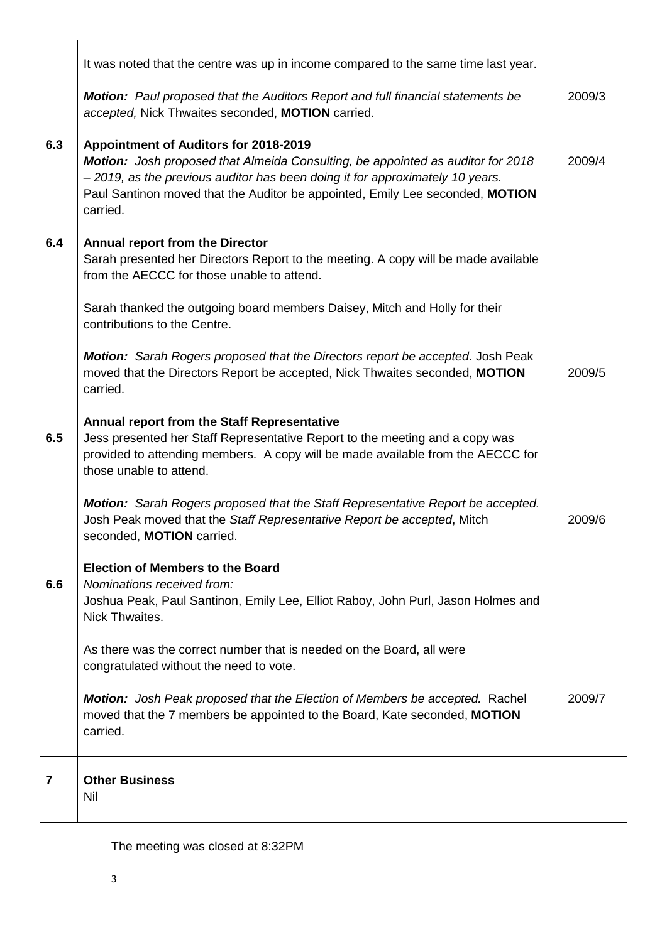| $\overline{7}$ | <b>Other Business</b><br>Nil                                                                                                                                                                                                                                                                           |        |
|----------------|--------------------------------------------------------------------------------------------------------------------------------------------------------------------------------------------------------------------------------------------------------------------------------------------------------|--------|
|                | <b>Motion:</b> Josh Peak proposed that the Election of Members be accepted. Rachel<br>moved that the 7 members be appointed to the Board, Kate seconded, MOTION<br>carried.                                                                                                                            | 2009/7 |
|                | As there was the correct number that is needed on the Board, all were<br>congratulated without the need to vote.                                                                                                                                                                                       |        |
| 6.6            | <b>Election of Members to the Board</b><br>Nominations received from:<br>Joshua Peak, Paul Santinon, Emily Lee, Elliot Raboy, John Purl, Jason Holmes and<br>Nick Thwaites.                                                                                                                            |        |
|                | Motion: Sarah Rogers proposed that the Staff Representative Report be accepted.<br>Josh Peak moved that the Staff Representative Report be accepted, Mitch<br>seconded, MOTION carried.                                                                                                                | 2009/6 |
| 6.5            | Annual report from the Staff Representative<br>Jess presented her Staff Representative Report to the meeting and a copy was<br>provided to attending members. A copy will be made available from the AECCC for<br>those unable to attend.                                                              |        |
|                | Motion: Sarah Rogers proposed that the Directors report be accepted. Josh Peak<br>moved that the Directors Report be accepted, Nick Thwaites seconded, MOTION<br>carried.                                                                                                                              | 2009/5 |
|                | Sarah thanked the outgoing board members Daisey, Mitch and Holly for their<br>contributions to the Centre.                                                                                                                                                                                             |        |
| 6.4            | <b>Annual report from the Director</b><br>Sarah presented her Directors Report to the meeting. A copy will be made available<br>from the AECCC for those unable to attend.                                                                                                                             |        |
| 6.3            | Appointment of Auditors for 2018-2019<br>Motion: Josh proposed that Almeida Consulting, be appointed as auditor for 2018<br>- 2019, as the previous auditor has been doing it for approximately 10 years.<br>Paul Santinon moved that the Auditor be appointed, Emily Lee seconded, MOTION<br>carried. | 2009/4 |
|                | <b>Motion:</b> Paul proposed that the Auditors Report and full financial statements be<br>accepted, Nick Thwaites seconded, MOTION carried.                                                                                                                                                            | 2009/3 |
|                | It was noted that the centre was up in income compared to the same time last year.                                                                                                                                                                                                                     |        |

The meeting was closed at 8:32PM